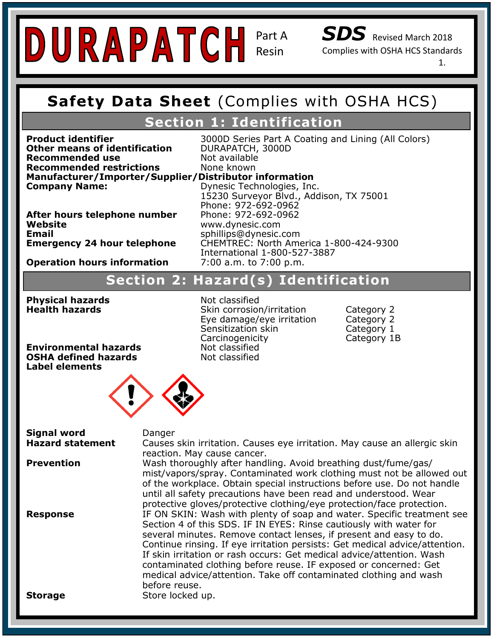# Resin

Part A

*SDS* Revised March 2018

Complies with OSHA HCS Standards

1.

#### **Safety Data Sheet (Complies with OSHA Safety Data Sheet** (Complies with OSHA HCS)

#### **Section 1: Identification**

**Recommended restrictions**<br>Manufacturer/Importer/Supplier/Distributor information **Other means of identification Recommended use** Not available<br> **Recommended restrictions** None known **Recommended restrictions** 

**DURAPATCH, 3000D Product identifier** 3000D Series Part A Coating and Lining (All Colors)

**Emergency Contact:** Same as Above Website<br>Email **Emergency 24 hour telephone** 

**Company Name: Company Name:** 15230 Supplier, *Biblingalon, Inc.* 15230 Dynesic Technologies, Inc. **After hours telephone number** Phone: 972-692-0962<br>Website 15230 Surveyor Blvd., Addison, TX 75001 Phone: 972-692-0962 **Website** www.dynesic.com **Email** sphillips@dynesic.com **Emergency 24 hour telephone** CHEMTREC: North America 1-800-424-9300 International 1-800-527-3887<br>7:00 a.m. to 7:00 p.m.

#### **Operation hours information 2:00 a.m. to 7:00 p.m.**

#### **Section 2 Hazard Statement(s): H317 Prolonged exposure may cause an allergic skin reaction. Section 2: Hazard(s) Identification Section 2: Hazard(s) Identification**

**Health hazards Physical hazards** Not classified

Phone: 972-692-0962

**Skin corrosion/irritation Category 2** Eye damage/eye irritation Category 2 Sensitization skin Category 1 Carcinogenicity Category 1B

**POSHA defined hazards P101: Interneeded, have product container or label at hand.**<br>Label alements **Environmental hazards Not classified**<br> **OSHA defined hazards Not classified Label elements**



P<sub>50</sub>1: Dispose of contents/container in accordance with local/regional/national/national/national/national/national/national/national/national/national/national/national/national/national/national/national/national/nation Hazard statement **Causes skin irritation. Causes eye irritation**. May cause an allergic skin **Prevention Wash thoroughly after handling. Avoid breathing dust/fume/gas/** mist, vapors, spray. Contammated work clothing must not be allowed our<br>of the workplace. Obtain special instructions before use. Do not handle Instance workplace. Obtain special instructions before user be not need. protective gloves/protective clothing/eye protection/face protection. Section 4 of this SDS. IF IN EYES: Rinse cautiously with water for several minutes. Remove contact lenses, if present and easy to do. Continue Tinsing. It eye imitation persists. Get medical advice/attent<br>If skin irritation or rash occurs: Get medical advice/attention. Wash Personal Protection Index: C contaminated clothing before reuse. IF exposed or concerned: Get **Signal word banger** reaction. May cause cancer. mist/vapors/spray. Contaminated work clothing must not be allowed out **Response IF ON SKIN: Wash with plenty of soap and water. Specific treatment see** Continue rinsing. If eye irritation persists: Get medical advice/attention. medical advice/attention. Take off contaminated clothing and wash before reuse. **Storage** Store locked up.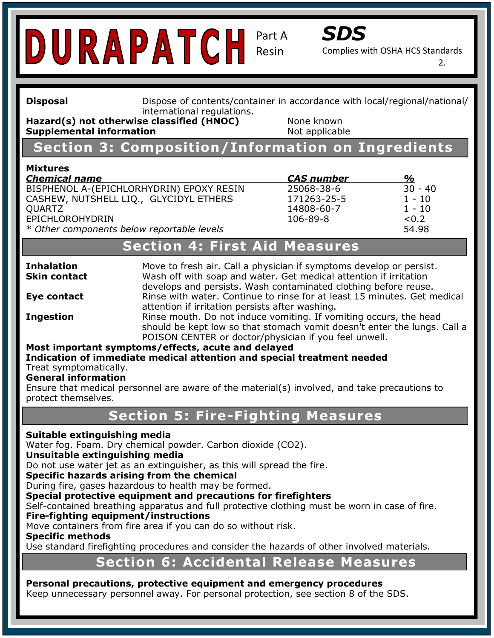

Complies with OSHA HCS Standards

2.

**Safet Complies Sheet (Complies with OSHA HOSHA HCS** HOSHA HCS) **international regulations. Disposal Dispose of contents/container in accordance with local/regional/national/** 

**Hazard(s)** not otherwise classified (HNOC) None known **Supplemental information Not applicable** 

### **Section 3: Composition/Information on Ingredients**

#### **Mixtures**

<u>Chemical Italije</u><br>BISPHENOL A-(EPICHLORHYDRIN) EPOXY RESIN 25068-38-6 30 - 40 Phone: 972-692-0962 CASHEW, NUTSHELL LIQ., GLYCIDYL ETHERS 171263-25-5 1 - 10 **OUARTZ Recommended Use:** Chemical and temperature resistant, UV stabilized, ultra clear coating for indoor and EPICHLOROHYDRIN 106-89-8 <0.2

**Trade Name:** SC-4400 *Chemical name CAS number %*  \* Other components below reportable levels **54.98** 14808-60-7 1 - 10

#### **Chemical Section 4: First Aid Measures**

**Skin contact** 

**Inhalation Come 3** Move to fresh air. Call a physician if symptoms develop or persist. develops and persists. Wash contaminated clothing before reuse.<br>Cantional persists. Wash contaminated clothing before reuse. **Skin contact Example 2: Hazard Wash off with soap and water. Get medical attention if irritation Eye contact Rinse with water. Continue to rinse for at least 15 minutes. Get medical** attention if irritation persists after washing.

**Ingestion** Rinse mouth. Do not induce vomiting. If vomiting occurs, the head should be kept low so that stomach vomit doesn't enter the lungs. Call a POISON CENTER or doctor/physician if you feel unwell.

#### **Most important symptoms/effects, acute and delayed**

**Precautionary Statements:** P101: If medical advice is needed, have product container or label at hand. **Indication of immediate medical attention and special treatment needed**  Treat symptomatically.

#### **General information**

Senerar **Information**<br>Ensure that medical personnel are aware of the material(s) involved, and take precautions to P261: Avoid breathing dust/fume/gas/mist/vapors/spray. protect themselves.

#### P280: Wear Protective gloves/protective clothing/eye and face protection. **Section 5: Fire-Fighting Measures**

#### $\mathbf{p}$  and accordance with local  $\mathbf{p}$  in accordance with local/regional/national/national/national/national/national/national/national/national/national/national/national/national/national/national/national/national **Suitable extinguishing media**

Water fog. Foam. Dry chemical powder. Carbon dioxide (CO2).

#### **Unsuitable extinguishing media**

Do not use water jet as an extinguisher, as this will spread the fire.

**Specific hazards arising from the chemical** 

During fire, gases hazardous to health may be formed.

**Buring in e, gases nazardous to health may be formed.**<br>Special protective equipment and precautions for firefighters

Special procedure equipment and preductions for mengifiers<br>Self-contained breathing apparatus and full protective clothing must be worn in case of fire. **Fire-fighting equipment/instructions** 

Move containers from fire area if you can do so without risk.

**Specific methods** 

Use standard firefighting procedures and consider the hazards of other involved materials.

#### **Section 6: Accidental Release Measures**

#### **Personal precautions, protective equipment and emergency procedures**

Keep unnecessary personnel away. For personal protection, see section 8 of the SDS.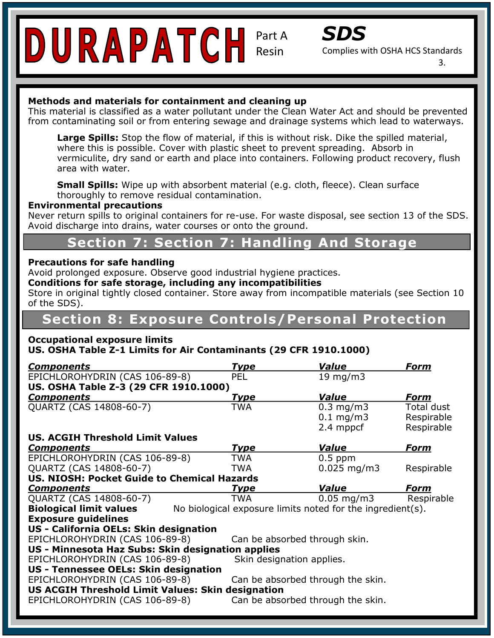

Part A



Complies with OSHA HCS Standards

3.

#### **Methods and materials for containment and cleaning up**

This material is classified as a water pollutant under the Clean Water Act and should be prevented from contaminating soil or from entering sewage and drainage systems which lead to waterways.

area with water. **Large Spins.** Stop the now of material, if this is without risk. Dike the spilled in<br>where this is possible. Cover with plastic sheet to prevent spreading. Absorb in **Large Spills:** Stop the flow of material, if this is without risk. Dike the spilled material, vermiculite, dry sand or earth and place into containers. Following product recovery, flush

**Small Spills:** Wipe up with absorbent material (e.g. cloth, fleece). Clean surface thoroughly to remove residual contamination.

#### **Environmental precautions**

Never return spills to original containers for re-use. For waste disposal, see section 13 of the SDS. Avoid discharge into drains, water courses or onto the ground.

#### **Chemical Section 7: Section 7: Handling And Storage**

#### **Hazard Classification: Skin Irritant- Category 2 Precautions for safe handling**

Avoid prolonged exposure. Observe good industrial hygiene practices.<br>Conditions for safe storage, including any incompatibilities.

**Signal Word: Warning Conditions for safe storage, including any incompatibilities** 

**Hamment Contains Statement Statement Statement Contains and allergies and allergies**<br>Store in original tightly closed container. Store away from incompatible materials (see Section 10 of the SDS).

### **Section 8: Exposure Controls/Personal Protection**

#### **Occupational exposure limits**

#### **US. OSHA Table Z-1 Limits for Air Contaminants (29 CFR 1910.1000)**

| <b>Components</b>                                                                            | <u>Type</u>                       | Value             | <u>Form</u> |  |  |  |  |
|----------------------------------------------------------------------------------------------|-----------------------------------|-------------------|-------------|--|--|--|--|
| EPICHLOROHYDRIN (CAS 106-89-8)                                                               | <b>PEL</b>                        | $19 \text{ mg/m}$ |             |  |  |  |  |
| US. OSHA Table Z-3 (29 CFR 1910.1000)                                                        |                                   |                   |             |  |  |  |  |
| <b>Components</b>                                                                            | <u>Type</u>                       | <b>Value</b>      | Form        |  |  |  |  |
| QUARTZ (CAS 14808-60-7)                                                                      | TWA                               | $0.3$ mg/m $3$    | Total dust  |  |  |  |  |
|                                                                                              |                                   | $0.1$ mg/m3       | Respirable  |  |  |  |  |
|                                                                                              |                                   | 2.4 mppcf         | Respirable  |  |  |  |  |
| <b>US. ACGIH Threshold Limit Values</b>                                                      |                                   |                   |             |  |  |  |  |
| <b>Components</b>                                                                            | <u>Type</u>                       | Value             | Form        |  |  |  |  |
| EPICHLOROHYDRIN (CAS 106-89-8)                                                               | TWA                               | $0.5$ ppm         |             |  |  |  |  |
| QUARTZ (CAS 14808-60-7)                                                                      | <b>TWA</b>                        | $0.025$ mg/m3     | Respirable  |  |  |  |  |
| <b>US. NIOSH: Pocket Guide to Chemical Hazards</b>                                           |                                   |                   |             |  |  |  |  |
| <b>Components</b>                                                                            | <u>Type</u>                       | Value             | <b>Form</b> |  |  |  |  |
| QUARTZ (CAS 14808-60-7)                                                                      | <b>TWA</b>                        | $0.05$ mg/m3      | Respirable  |  |  |  |  |
| <b>Biological limit values</b><br>No biological exposure limits noted for the ingredient(s). |                                   |                   |             |  |  |  |  |
| <b>Exposure guidelines</b>                                                                   |                                   |                   |             |  |  |  |  |
| US - California OELs: Skin designation                                                       |                                   |                   |             |  |  |  |  |
| EPICHLOROHYDRIN (CAS 106-89-8)                                                               | Can be absorbed through skin.     |                   |             |  |  |  |  |
| US - Minnesota Haz Subs: Skin designation applies                                            |                                   |                   |             |  |  |  |  |
| EPICHLOROHYDRIN (CAS 106-89-8)                                                               | Skin designation applies.         |                   |             |  |  |  |  |
| US - Tennessee OELs: Skin designation                                                        |                                   |                   |             |  |  |  |  |
| EPICHLOROHYDRIN (CAS 106-89-8)                                                               | Can be absorbed through the skin. |                   |             |  |  |  |  |
| <b>US ACGIH Threshold Limit Values: Skin designation</b>                                     |                                   |                   |             |  |  |  |  |
| EPICHLOROHYDRIN (CAS 106-89-8)                                                               | Can be absorbed through the skin. |                   |             |  |  |  |  |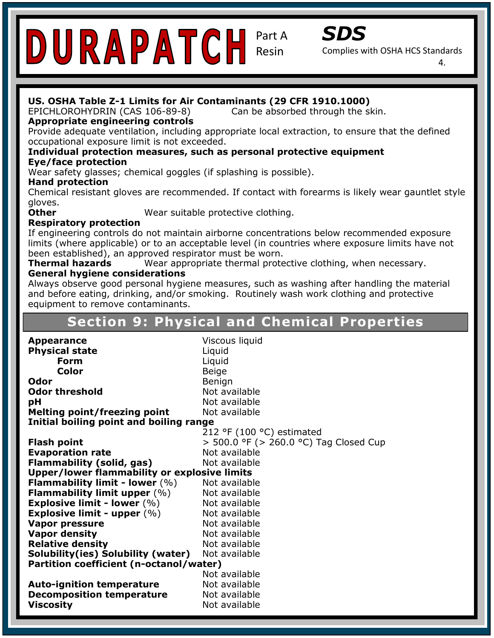*SDS* 

Complies with OSHA HCS Standards

4.

#### **US. OSHA Table Z-1 Limits for Air Contaminants (29 CFR 1910.1000)**

Can be absorbed through the skin. EPICHLOROHYDRIN (CAS 106-89-8)

#### **Appropriate engineering controls**

Provide adequate ventilation, including appropriate local extraction, to ensure that the defined occupational exposure limit is not exceeded.

#### occupational exposure limit is not exceeded.<br>**Individual protection measures, such as personal protective equipment Eye/face protection**

Wear safety glasses; chemical goggles (if splashing is possible).

#### **Contact Information: Addison: Inc. 15230 Surveyor Blvd., Addison, TX 75001 Surveyor Blvd., Addison, TX 75001 Surveyor Blvd., Addison, TX 75001 Surveyor Blvd., Addison, TX 75001 Surveyor Blvd., Addison, TX 75001 Surveyor B**

Chemical resistant gloves are recommended. If contact with forearms is likely wear gauntlet style gloves.

**Other** 

Wear suitable protective clothing.

#### **Respiratory protection** and temperature resistant, UV stabilized, users and the coating for industries of the coating for industries  $\mathbf{R}$  and  $\mathbf{R}$  and  $\mathbf{R}$  and  $\mathbf{R}$  are and  $\mathbf{R}$  and  $\mathbf{R}$  are and  $\$

If engineering controls do not maintain airborne concentrations below recommended exposure limits (where applicable) or to an acceptable level (in countries where exposure limits have not been established), an approved respirator must be worn.

**Thermal hazards** Wear appropriate thermal protective clothing, when necessary.

#### **General hygiene considerations**

**General hygiene considerations**<br>Always observe good personal hygiene measures, such as washing after handling the material Allergie Statement Consultation is an allergic statement of the consuming the matter manufacture and before eating, drinking, and/or smoking. Routinely wash work clothing and protective **Pictogram:** equipment to remove contaminants.

#### **Section 9: Physical and Chemical Properties**

**Precaution Statements:** *P* 101: If medical advice is needed, have product container or label at hand. The statement of the statement of the statement of the statement of the statement of the statement of the statement of **Color Color Beige Odor Benign Benign Benign Pack investigation**<br> **pH** Not available Not available P333+P313: If skin irritation/rash occurs, get medical attention. **Initial boiling point and boiling range**   $212$  °F (100 °C) estimated **Flash point**  $\qquad \qquad$  > 500.0 °F (> 260.0 °C) Tag Closed Cup **NFPA Rating:** Health: 1 Flammability: 1 **Upper/lower flammability or explosive limits**  Not available Not available **Vapor pressure Not available** Not available<br>Not available **Relative defisity**<br>**Solubility(ies) Solubility (water)** Not available **Partition coefficient (n-octanol/water) Appearance** Viscous liquid **Physical state Liquid Form** Liquid **Odor threshold** Not available **Melting point/freezing point Evaporation rate** Not available **Flammability (solid, gas)** Not available **Flammability limit - lower** (%) Not available **Flammability limit upper (%) Explosive limit - lower (%) Explosive limit - upper**  $(\%)$  Not available **Vapor density Relative density** Not available **Auto-ignition temperature** Not available **Decomposition temperature** Not available **Viscosity Not available Not available**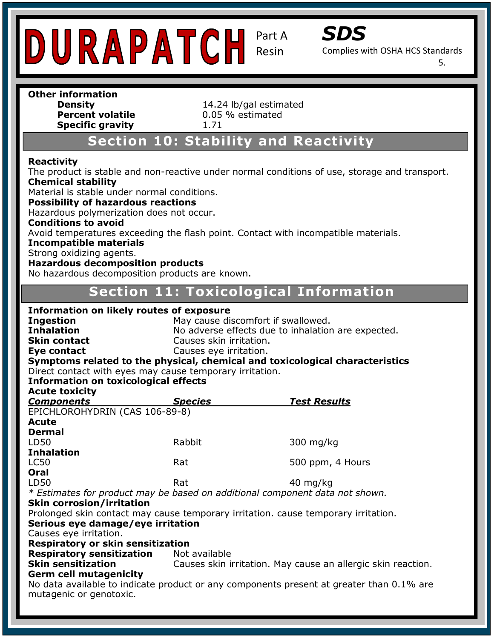

*SDS* 

Complies with OSHA HCS Standards

5.

### **Other information Specific gravity** 1.71

**Density**<br> **Percent volatile**<br> **Percent volatile**<br> **14.24** lb/gal estimated **Percent volatile** 0.05 % estimated

#### **Section 10: Stability and Reactivity**

#### **Reactivity**

The product is stable and non-reactive under normal conditions of use, storage and transport. **Chemical stability Dynesic Technologies, Inc. 15230 Surveyor Blvd., Addison, TX 75001** 

Material is stable under normal conditions.

**Possibility of hazardous reactions** 

**Fossibility of Hazardous Feactions**<br>Hazardous polymerization does not occur. **Records use performand uses not seem.**<br>**Conditions to avoid** 

Avoid temperatures exceeding the flash point. Contact with incompatible materials.

#### **Incompatible materials**

Strong oxidizing agents.

#### **Hazardous decomposition products**

**Signal Word: Warning Section 2: Hazard(s) Identification** No hazardous decomposition products are known.

#### **Hazard Section 11: Toxicological Information**

#### **Pictogram: Information on likely routes of exposure**  Symptoms related to the physical, chemical and toxicological characteristics Direct contact with eyes may cause temporary irritation. **Information on toxicological effects Species Test Results** <u>oomponents/wear and face of the species/protection.</u><br>EPICHLOROHYDRIN (CAS 106-89-8)  $\frac{1}{2}$ Rabbit. **NFPA Rating:** Health: 1 Rat *\* Estimates for product may be based on additional component data not shown.*  $\mathbf{S}$ **HIMS ® Rating:** Health: 1 **Serious eye damage/eye irritation Causes eye imitation.**<br>**Respiratory or skin sensitization** Not available **Skin sensitization Index: Constitution** Causes skin irritation. May cause an allergic skin reaction. **Ingestion May cause discomfort if swallowed. Inhalation No adverse effects due to inhalation are expected. Skin contact** Causes skin irritation. **Eve contact** Causes eve irritation. **Acute toxicity**   $Components$ **Acute Dermal**  LD50 Rabbit 300 mg/kg **Inhalation** LC50 **Rat** Rat 500 ppm, 4 Hours **Oral** LD50 Rat 40 mg/kg **Skin corrosion/irritation**  Prolonged skin contact may cause temporary irritation. cause temporary irritation. Causes eye irritation. **Respiratory sensitization Germ cell mutagenicity**  No data available to indicate product or any components present at greater than 0.1% are mutagenic or genotoxic.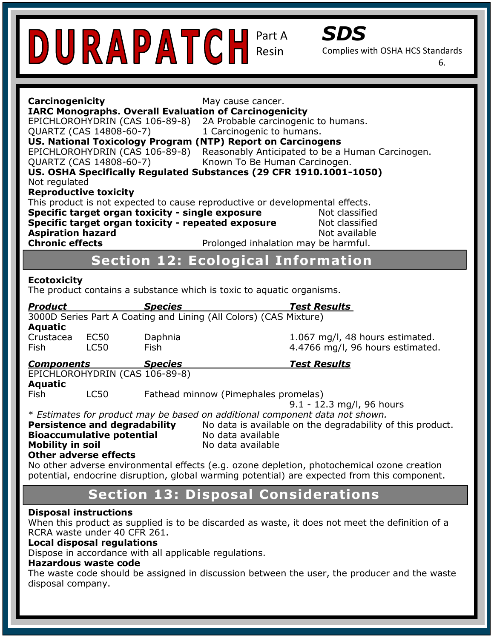

Complies with OSHA HCS Standards

6.

| Carcinogenicity<br>May cause cancer.<br><b>IARC Monographs. Overall Evaluation of Carcinogenicity</b><br>EPICHLOROHYDRIN (CAS 106-89-8)<br>2A Probable carcinogenic to humans.<br>QUARTZ (CAS 14808-60-7)<br>1 Carcinogenic to humans.<br>US. National Toxicology Program (NTP) Report on Carcinogens<br>EPICHLOROHYDRIN (CAS 106-89-8)<br>Reasonably Anticipated to be a Human Carcinogen.<br>QUARTZ (CAS 14808-60-7)<br>Known To Be Human Carcinogen.<br>US. OSHA Specifically Regulated Substances (29 CFR 1910.1001-1050)<br>Not regulated<br><b>Reproductive toxicity</b><br>This product is not expected to cause reproductive or developmental effects. |                                                                                                                                                                                      |  |  |  |
|----------------------------------------------------------------------------------------------------------------------------------------------------------------------------------------------------------------------------------------------------------------------------------------------------------------------------------------------------------------------------------------------------------------------------------------------------------------------------------------------------------------------------------------------------------------------------------------------------------------------------------------------------------------|--------------------------------------------------------------------------------------------------------------------------------------------------------------------------------------|--|--|--|
| Specific target organ toxicity - single exposure<br>Not classified<br>Specific target organ toxicity - repeated exposure<br>Not classified                                                                                                                                                                                                                                                                                                                                                                                                                                                                                                                     |                                                                                                                                                                                      |  |  |  |
| <b>Aspiration hazard</b><br><b>Chronic effects</b>                                                                                                                                                                                                                                                                                                                                                                                                                                                                                                                                                                                                             | Not available<br>Prolonged inhalation may be harmful.                                                                                                                                |  |  |  |
|                                                                                                                                                                                                                                                                                                                                                                                                                                                                                                                                                                                                                                                                | <b>Section 12: Ecological Information</b>                                                                                                                                            |  |  |  |
| <b>Ecotoxicity</b><br>The product contains a substance which is toxic to aquatic organisms.                                                                                                                                                                                                                                                                                                                                                                                                                                                                                                                                                                    |                                                                                                                                                                                      |  |  |  |
| <b>Product</b><br><b>Species</b><br>3000D Series Part A Coating and Lining (All Colors) (CAS Mixture)<br><b>Aquatic</b><br>Daphnia<br>Crustacea<br>EC50<br><b>LC50</b><br><b>Fish</b><br><b>Fish</b>                                                                                                                                                                                                                                                                                                                                                                                                                                                           | <b>Test Results</b><br>1.067 mg/l, 48 hours estimated.<br>4.4766 mg/l, 96 hours estimated.                                                                                           |  |  |  |
| <b>Species</b><br><u>Components</u><br>EPICHLOROHYDRIN (CAS 106-89-8)                                                                                                                                                                                                                                                                                                                                                                                                                                                                                                                                                                                          | <b>Test Results</b>                                                                                                                                                                  |  |  |  |
| <b>Aquatic</b><br>Fish<br><b>LC50</b>                                                                                                                                                                                                                                                                                                                                                                                                                                                                                                                                                                                                                          | Fathead minnow (Pimephales promelas)<br>$9.1 - 12.3$ mg/l, 96 hours                                                                                                                  |  |  |  |
| <b>Persistence and degradability</b><br><b>Bioaccumulative potential</b><br><b>Mobility in soil</b><br><b>Other adverse effects</b>                                                                                                                                                                                                                                                                                                                                                                                                                                                                                                                            | * Estimates for product may be based on additional component data not shown.<br>No data is available on the degradability of this product.<br>No data available<br>No data available |  |  |  |
| No other adverse environmental effects (e.g. ozone depletion, photochemical ozone creation<br>potential, endocrine disruption, global warming potential) are expected from this component.                                                                                                                                                                                                                                                                                                                                                                                                                                                                     |                                                                                                                                                                                      |  |  |  |
|                                                                                                                                                                                                                                                                                                                                                                                                                                                                                                                                                                                                                                                                | <b>Section 13: Disposal Considerations</b>                                                                                                                                           |  |  |  |
| <b>Disposal instructions</b><br>RCRA waste under 40 CFR 261.<br><b>Local disposal regulations</b><br>Dispose in accordance with all applicable regulations.<br><b>Hazardous waste code</b>                                                                                                                                                                                                                                                                                                                                                                                                                                                                     | When this product as supplied is to be discarded as waste, it does not meet the definition of a                                                                                      |  |  |  |

#### **Hazardous waste code**

The waste code should be assigned in discussion between the user, the producer and the waste disposal company.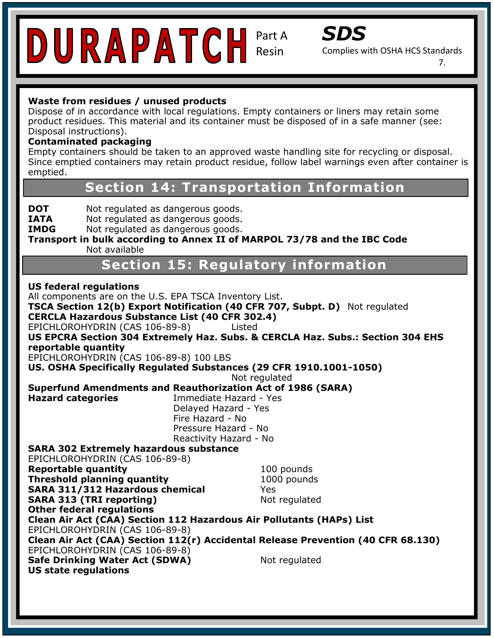*SDS* 

Complies with OSHA HCS Standards

7.

#### **Waste from residues / unused products**

Dispose of in accordance with local regulations. Empty containers or liners may retain some product residues. This material and its container must be disposed of in a safe manner (see: Disposal instructions).

#### **Contaminated packaging**

emptied. **Contaminated packaging**<br>Empty containers should be taken to an approved waste handling site for recycling or disposal. Since emptied containers may retain product residue, follow label warnings even after container is

**Contact Section 14: Transportation Information** Phone: 972-692-0962

**DOT** Not regulated as dangerous goods.

**IATA** Not regulated as dangerous goods. **INTA** Not regulated as dangerous goods.

**IMDG** Not regulated as dangerous goods.

**Transport in bulk according to Annex II of MARPOL 73/78 and the IBC Code** Not available

**Hazard Classification 15: Regulatory information** 

**Signal Word: Warning US reaeral regulations**<br>All components are on the U.S. EPA TSCA Inventory List. **Pictogram: CERCLA Hazardous Substance List (40 CFR 302.4) Precautionary Statements:** P101: If medical advice is needed, have product container or label at hand. US. OSHA Specifically Regulated Substances (29 CFR 1910.1001-1050) **Superfund Amendments and Reauthorization Act of 1986 (SARA) Hazard categories Immediate Hazard - Yes** Delayed Hazard - Yes and face protective control of the protection. P333 + P323 + P323 + P323 + P333 + P333 + P333 + P333 + P333 + P333 + P333 + P333 + P333 + P333 + P333 + P333 + P333 + P333 + P333 + P333 + P333 + P333 + P333 + P333 + P333 + P333 + P333 + P333 + P333 + P333 + P333 + P333 Pressure Hazard - No **pressure Hazard - No**  and intl. regulations. **SARA 302 Extremely hazardous substance Reportable quantity Reportable quantity** 100 pounds **Threshold planning quantity** 1000 pounds **SARA 311/312 Hazardous chemical** *Yes* Yes Specific Hazard: N/A **HIMS ® Rating:** Health: 1 EPICHLOROHYDRIN (CAS 106-89-8) Flammability: 1 **Clean Air Act (CAA) Section 112(r) Accidental Release Prevention (40 CFR 68.130)**  EPICHLOROHYDRIN (CAS 106-89-8) **Safe Drinking Water Act (SDWA)** Not regulated **Section 2: Hazard(s) Identification US federal regulations TSCA Section 12(b) Export Notification (40 CFR 707, Subpt. D)** Not regulated EPICHLOROHYDRIN (CAS 106-89-8) Listed **US EPCRA Section 304 Extremely Haz. Subs. & CERCLA Haz. Subs.: Section 304 EHS reportable quantity**  EPICHLOROHYDRIN (CAS 106-89-8) 100 LBS Not regulated Reactivity Hazard - No EPICHLOROHYDRIN (CAS 106-89-8) **SARA 313 (TRI reporting)** Not regulated **Other federal regulations Clean Air Act (CAA) Section 112 Hazardous Air Pollutants (HAPs) List US state regulations**